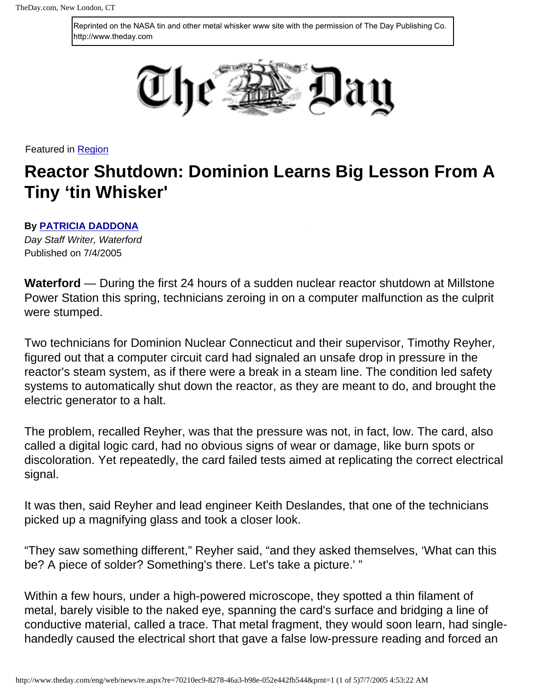Reprinted on the NASA tin and other metal whisker www site with the permission of The Day Publishing Co. http://www.theday.com



Featured in [Region](http://www.theday.com/eng/web/news/region.aspx)

## **Reactor Shutdown: Dominion Learns Big Lesson From A Tiny 'tin Whisker'**

## **By [PATRICIA DADDONA](http://www.theday.com/eng/web/news/profiles.aspx?pro=e8052630-f001-4d2c-ac98-f7410a030a5c)**

*Day Staff Writer, Waterford* Published on 7/4/2005

**Waterford** — During the first 24 hours of a sudden nuclear reactor shutdown at Millstone Power Station this spring, technicians zeroing in on a computer malfunction as the culprit were stumped.

Two technicians for Dominion Nuclear Connecticut and their supervisor, Timothy Reyher, figured out that a computer circuit card had signaled an unsafe drop in pressure in the reactor's steam system, as if there were a break in a steam line. The condition led safety systems to automatically shut down the reactor, as they are meant to do, and brought the electric generator to a halt.

The problem, recalled Reyher, was that the pressure was not, in fact, low. The card, also called a digital logic card, had no obvious signs of wear or damage, like burn spots or discoloration. Yet repeatedly, the card failed tests aimed at replicating the correct electrical signal.

It was then, said Reyher and lead engineer Keith Deslandes, that one of the technicians picked up a magnifying glass and took a closer look.

"They saw something different," Reyher said, "and they asked themselves, 'What can this be? A piece of solder? Something's there. Let's take a picture.' "

Within a few hours, under a high-powered microscope, they spotted a thin filament of metal, barely visible to the naked eye, spanning the card's surface and bridging a line of conductive material, called a trace. That metal fragment, they would soon learn, had singlehandedly caused the electrical short that gave a false low-pressure reading and forced an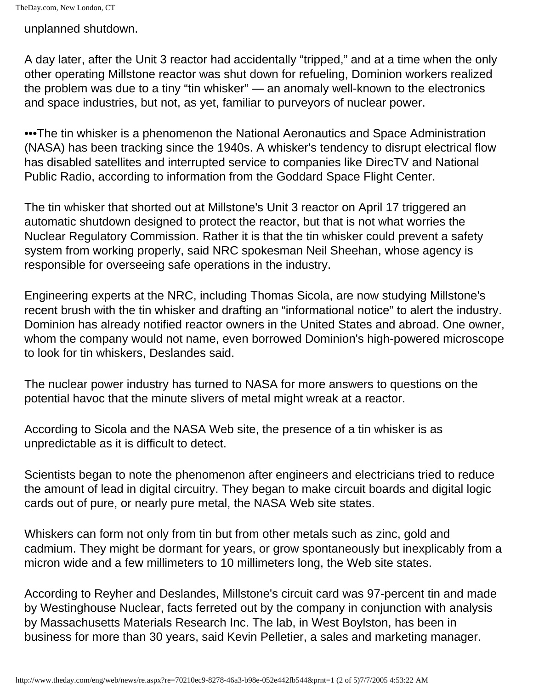unplanned shutdown.

A day later, after the Unit 3 reactor had accidentally "tripped," and at a time when the only other operating Millstone reactor was shut down for refueling, Dominion workers realized the problem was due to a tiny "tin whisker" — an anomaly well-known to the electronics and space industries, but not, as yet, familiar to purveyors of nuclear power.

•••The tin whisker is a phenomenon the National Aeronautics and Space Administration (NASA) has been tracking since the 1940s. A whisker's tendency to disrupt electrical flow has disabled satellites and interrupted service to companies like DirecTV and National Public Radio, according to information from the Goddard Space Flight Center.

The tin whisker that shorted out at Millstone's Unit 3 reactor on April 17 triggered an automatic shutdown designed to protect the reactor, but that is not what worries the Nuclear Regulatory Commission. Rather it is that the tin whisker could prevent a safety system from working properly, said NRC spokesman Neil Sheehan, whose agency is responsible for overseeing safe operations in the industry.

Engineering experts at the NRC, including Thomas Sicola, are now studying Millstone's recent brush with the tin whisker and drafting an "informational notice" to alert the industry. Dominion has already notified reactor owners in the United States and abroad. One owner, whom the company would not name, even borrowed Dominion's high-powered microscope to look for tin whiskers, Deslandes said.

The nuclear power industry has turned to NASA for more answers to questions on the potential havoc that the minute slivers of metal might wreak at a reactor.

According to Sicola and the NASA Web site, the presence of a tin whisker is as unpredictable as it is difficult to detect.

Scientists began to note the phenomenon after engineers and electricians tried to reduce the amount of lead in digital circuitry. They began to make circuit boards and digital logic cards out of pure, or nearly pure metal, the NASA Web site states.

Whiskers can form not only from tin but from other metals such as zinc, gold and cadmium. They might be dormant for years, or grow spontaneously but inexplicably from a micron wide and a few millimeters to 10 millimeters long, the Web site states.

According to Reyher and Deslandes, Millstone's circuit card was 97-percent tin and made by Westinghouse Nuclear, facts ferreted out by the company in conjunction with analysis by Massachusetts Materials Research Inc. The lab, in West Boylston, has been in business for more than 30 years, said Kevin Pelletier, a sales and marketing manager.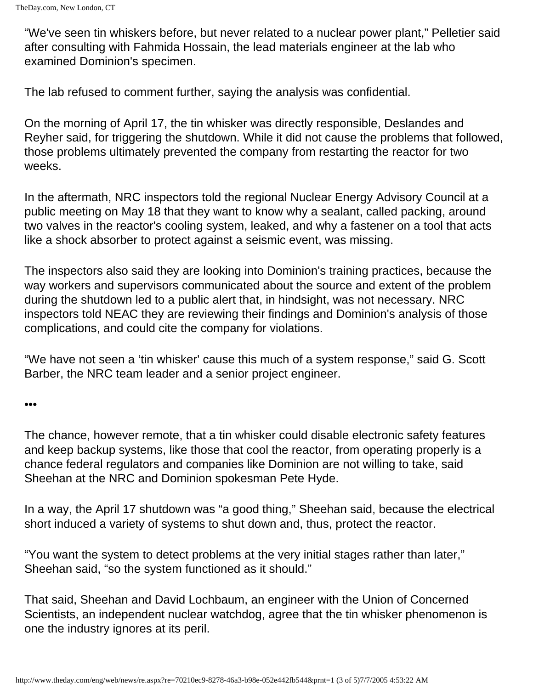"We've seen tin whiskers before, but never related to a nuclear power plant," Pelletier said after consulting with Fahmida Hossain, the lead materials engineer at the lab who examined Dominion's specimen.

The lab refused to comment further, saying the analysis was confidential.

On the morning of April 17, the tin whisker was directly responsible, Deslandes and Reyher said, for triggering the shutdown. While it did not cause the problems that followed, those problems ultimately prevented the company from restarting the reactor for two weeks.

In the aftermath, NRC inspectors told the regional Nuclear Energy Advisory Council at a public meeting on May 18 that they want to know why a sealant, called packing, around two valves in the reactor's cooling system, leaked, and why a fastener on a tool that acts like a shock absorber to protect against a seismic event, was missing.

The inspectors also said they are looking into Dominion's training practices, because the way workers and supervisors communicated about the source and extent of the problem during the shutdown led to a public alert that, in hindsight, was not necessary. NRC inspectors told NEAC they are reviewing their findings and Dominion's analysis of those complications, and could cite the company for violations.

"We have not seen a 'tin whisker' cause this much of a system response," said G. Scott Barber, the NRC team leader and a senior project engineer.

•••

The chance, however remote, that a tin whisker could disable electronic safety features and keep backup systems, like those that cool the reactor, from operating properly is a chance federal regulators and companies like Dominion are not willing to take, said Sheehan at the NRC and Dominion spokesman Pete Hyde.

In a way, the April 17 shutdown was "a good thing," Sheehan said, because the electrical short induced a variety of systems to shut down and, thus, protect the reactor.

"You want the system to detect problems at the very initial stages rather than later," Sheehan said, "so the system functioned as it should."

That said, Sheehan and David Lochbaum, an engineer with the Union of Concerned Scientists, an independent nuclear watchdog, agree that the tin whisker phenomenon is one the industry ignores at its peril.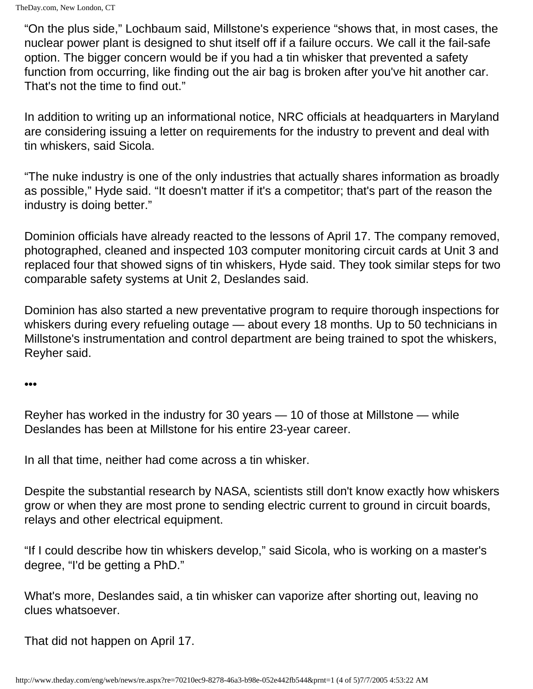"On the plus side," Lochbaum said, Millstone's experience "shows that, in most cases, the nuclear power plant is designed to shut itself off if a failure occurs. We call it the fail-safe option. The bigger concern would be if you had a tin whisker that prevented a safety function from occurring, like finding out the air bag is broken after you've hit another car. That's not the time to find out."

In addition to writing up an informational notice, NRC officials at headquarters in Maryland are considering issuing a letter on requirements for the industry to prevent and deal with tin whiskers, said Sicola.

"The nuke industry is one of the only industries that actually shares information as broadly as possible," Hyde said. "It doesn't matter if it's a competitor; that's part of the reason the industry is doing better."

Dominion officials have already reacted to the lessons of April 17. The company removed, photographed, cleaned and inspected 103 computer monitoring circuit cards at Unit 3 and replaced four that showed signs of tin whiskers, Hyde said. They took similar steps for two comparable safety systems at Unit 2, Deslandes said.

Dominion has also started a new preventative program to require thorough inspections for whiskers during every refueling outage — about every 18 months. Up to 50 technicians in Millstone's instrumentation and control department are being trained to spot the whiskers, Reyher said.

## •••

Reyher has worked in the industry for 30 years — 10 of those at Millstone — while Deslandes has been at Millstone for his entire 23-year career.

In all that time, neither had come across a tin whisker.

Despite the substantial research by NASA, scientists still don't know exactly how whiskers grow or when they are most prone to sending electric current to ground in circuit boards, relays and other electrical equipment.

"If I could describe how tin whiskers develop," said Sicola, who is working on a master's degree, "I'd be getting a PhD."

What's more, Deslandes said, a tin whisker can vaporize after shorting out, leaving no clues whatsoever.

That did not happen on April 17.